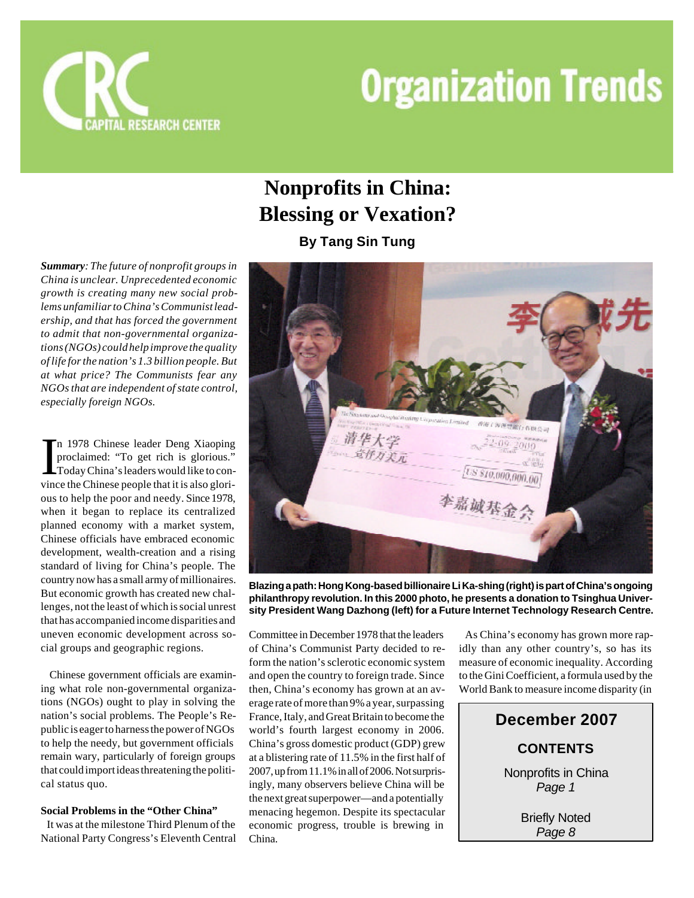

## **Nonprofits in China: Blessing or Vexation?**

**By Tang Sin Tung**

*Summary: The future of nonprofit groups in China is unclear. Unprecedented economic growth is creating many new social problems unfamiliar to China's Communist leadership, and that has forced the government to admit that non-governmental organizations (NGOs) could help improve the quality of life for the nation's 1.3 billion people. But at what price? The Communists fear any NGOs that are independent of state control, especially foreign NGOs.*

In 1978 Chinese leader Deng Xiaoping<br>proclaimed: "To get rich is glorious."<br>Today China's leaders would like to convince the Chinese people that it is also glorin 1978 Chinese leader Deng Xiaoping proclaimed: "To get rich is glorious." Today China's leaders would like to conous to help the poor and needy. Since 1978, when it began to replace its centralized planned economy with a market system, Chinese officials have embraced economic development, wealth-creation and a rising standard of living for China's people. The country now has a small army of millionaires. But economic growth has created new challenges, not the least of which is social unrest that has accompanied income disparities and uneven economic development across social groups and geographic regions.

 Chinese government officials are examining what role non-governmental organizations (NGOs) ought to play in solving the nation's social problems. The People's Republic is eager to harness the power of NGOs to help the needy, but government officials remain wary, particularly of foreign groups that could import ideas threatening the political status quo.

#### **Social Problems in the "Other China"**

 It was at the milestone Third Plenum of the National Party Congress's Eleventh Central



**Blazing a path: Hong Kong-based billionaire Li Ka-shing (right) is part of China's ongoing philanthropy revolution. In this 2000 photo, he presents a donation to Tsinghua University President Wang Dazhong (left) for a Future Internet Technology Research Centre.**

Committee in December 1978 that the leaders of China's Communist Party decided to reform the nation's sclerotic economic system and open the country to foreign trade. Since then, China's economy has grown at an average rate of more than 9% a year, surpassing France, Italy, and Great Britain to become the world's fourth largest economy in 2006. China's gross domestic product (GDP) grew at a blistering rate of 11.5% in the first half of 2007, up from 11.1% in all of 2006. Not surprisingly, many observers believe China will be the next great superpower—and a potentially menacing hegemon. Despite its spectacular economic progress, trouble is brewing in China.

 As China's economy has grown more rapidly than any other country's, so has its measure of economic inequality. According to the Gini Coefficient, a formula used by the World Bank to measure income disparity (in

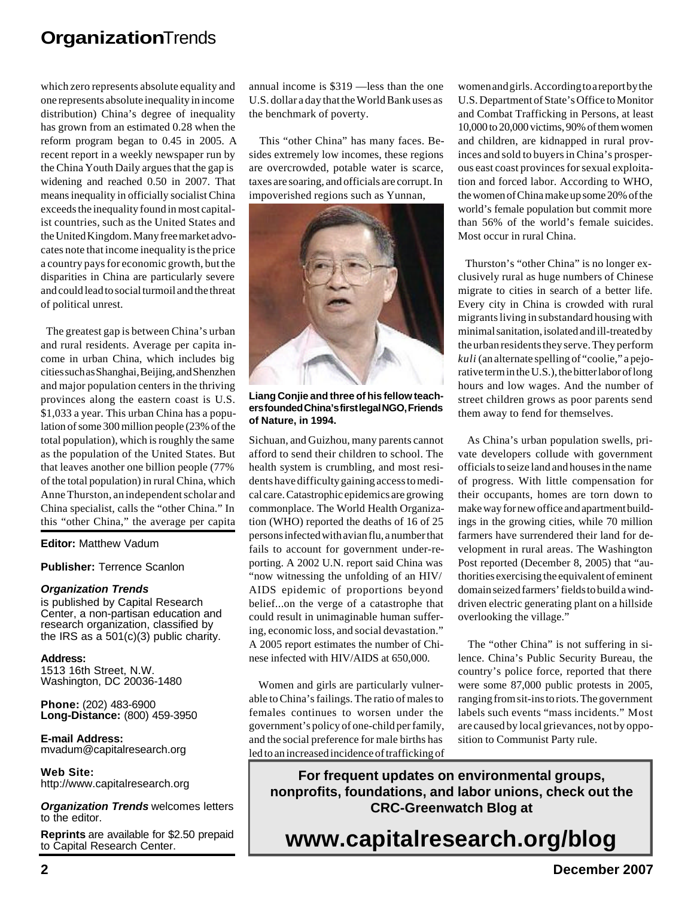which zero represents absolute equality and one represents absolute inequality in income distribution) China's degree of inequality has grown from an estimated 0.28 when the reform program began to 0.45 in 2005. A recent report in a weekly newspaper run by the China Youth Daily argues that the gap is widening and reached 0.50 in 2007. That means inequality in officially socialist China exceeds the inequality found in most capitalist countries, such as the United States and the United Kingdom. Many free market advocates note that income inequality is the price a country pays for economic growth, but the disparities in China are particularly severe and could lead to social turmoil and the threat of political unrest.

 The greatest gap is between China's urban and rural residents. Average per capita income in urban China, which includes big cities such as Shanghai, Beijing, and Shenzhen and major population centers in the thriving provinces along the eastern coast is U.S. \$1,033 a year. This urban China has a population of some 300 million people (23% of the total population), which is roughly the same as the population of the United States. But that leaves another one billion people (77% of the total population) in rural China, which Anne Thurston, an independent scholar and China specialist, calls the "other China." In this "other China," the average per capita

**Editor:** Matthew Vadum

**Publisher:** Terrence Scanlon

#### *Organization Trends*

is published by Capital Research Center, a non-partisan education and research organization, classified by the IRS as a 501(c)(3) public charity.

**Address:** 1513 16th Street, N.W. Washington, DC 20036-1480

**Phone:** (202) 483-6900 **Long-Distance:** (800) 459-3950

**E-mail Address:** mvadum@capitalresearch.org

**Web Site:** http://www.capitalresearch.org

*Organization Trends* welcomes letters to the editor.

**Reprints** are available for \$2.50 prepaid to Capital Research Center.

annual income is \$319 —less than the one U.S. dollar a day that the World Bank uses as the benchmark of poverty.

 This "other China" has many faces. Besides extremely low incomes, these regions are overcrowded, potable water is scarce, taxes are soaring, and officials are corrupt. In impoverished regions such as Yunnan,



**Liang Conjie and three of his fellow teachers founded China's first legal NGO, Friends of Nature, in 1994.**

Sichuan, and Guizhou, many parents cannot afford to send their children to school. The health system is crumbling, and most residents have difficulty gaining access to medical care. Catastrophic epidemics are growing commonplace. The World Health Organization (WHO) reported the deaths of 16 of 25 persons infected with avian flu, a number that fails to account for government under-reporting. A 2002 U.N. report said China was "now witnessing the unfolding of an HIV/ AIDS epidemic of proportions beyond belief...on the verge of a catastrophe that could result in unimaginable human suffering, economic loss, and social devastation." A 2005 report estimates the number of Chinese infected with HIV/AIDS at 650,000.

 Women and girls are particularly vulnerable to China's failings. The ratio of males to females continues to worsen under the government's policy of one-child per family, and the social preference for male births has led to an increased incidence of trafficking of women and girls. According to a report by the U.S. Department of State's Office to Monitor and Combat Trafficking in Persons, at least 10,000 to 20,000 victims, 90% of them women and children, are kidnapped in rural provinces and sold to buyers in China's prosperous east coast provinces for sexual exploitation and forced labor. According to WHO, the women of China make up some 20% of the world's female population but commit more than 56% of the world's female suicides. Most occur in rural China.

 Thurston's "other China" is no longer exclusively rural as huge numbers of Chinese migrate to cities in search of a better life. Every city in China is crowded with rural migrants living in substandard housing with minimal sanitation, isolated and ill-treated by the urban residents they serve. They perform *kuli* (an alternate spelling of "coolie," a pejorative term in the U.S.), the bitter labor of long hours and low wages. And the number of street children grows as poor parents send them away to fend for themselves.

 As China's urban population swells, private developers collude with government officials to seize land and houses in the name of progress. With little compensation for their occupants, homes are torn down to make way for new office and apartment buildings in the growing cities, while 70 million farmers have surrendered their land for development in rural areas. The Washington Post reported (December 8, 2005) that "authorities exercising the equivalent of eminent domain seized farmers' fields to build a winddriven electric generating plant on a hillside overlooking the village."

 The "other China" is not suffering in silence. China's Public Security Bureau, the country's police force, reported that there were some 87,000 public protests in 2005, ranging from sit-ins to riots. The government labels such events "mass incidents." Most are caused by local grievances, not by opposition to Communist Party rule.

**For frequent updates on environmental groups, nonprofits, foundations, and labor unions, check out the CRC-Greenwatch Blog at**

## **www.capitalresearch.org/blog**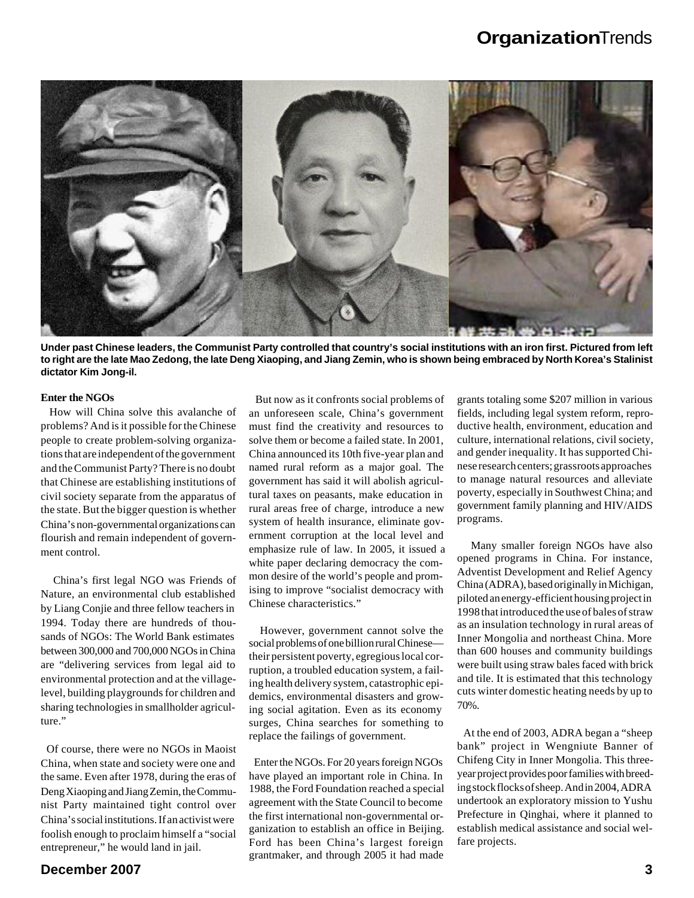

**Under past Chinese leaders, the Communist Party controlled that country's social institutions with an iron first. Pictured from left to right are the late Mao Zedong, the late Deng Xiaoping, and Jiang Zemin, who is shown being embraced by North Korea's Stalinist dictator Kim Jong-il.**

#### **Enter the NGOs**

 How will China solve this avalanche of problems? And is it possible for the Chinese people to create problem-solving organizations that are independent of the government and the Communist Party? There is no doubt that Chinese are establishing institutions of civil society separate from the apparatus of the state. But the bigger question is whether China's non-governmental organizations can flourish and remain independent of government control.

 China's first legal NGO was Friends of Nature, an environmental club established by Liang Conjie and three fellow teachers in 1994. Today there are hundreds of thousands of NGOs: The World Bank estimates between 300,000 and 700,000 NGOs in China are "delivering services from legal aid to environmental protection and at the villagelevel, building playgrounds for children and sharing technologies in smallholder agriculture."

 Of course, there were no NGOs in Maoist China, when state and society were one and the same. Even after 1978, during the eras of Deng Xiaoping and Jiang Zemin, the Communist Party maintained tight control over China's social institutions. If an activist were foolish enough to proclaim himself a "social entrepreneur," he would land in jail.

 But now as it confronts social problems of an unforeseen scale, China's government must find the creativity and resources to solve them or become a failed state. In 2001, China announced its 10th five-year plan and named rural reform as a major goal. The government has said it will abolish agricultural taxes on peasants, make education in rural areas free of charge, introduce a new system of health insurance, eliminate government corruption at the local level and emphasize rule of law. In 2005, it issued a white paper declaring democracy the common desire of the world's people and promising to improve "socialist democracy with Chinese characteristics."

 However, government cannot solve the social problems of one billion rural Chinese their persistent poverty, egregious local corruption, a troubled education system, a failing health delivery system, catastrophic epidemics, environmental disasters and growing social agitation. Even as its economy surges, China searches for something to replace the failings of government.

 Enter the NGOs. For 20 years foreign NGOs have played an important role in China. In 1988, the Ford Foundation reached a special agreement with the State Council to become the first international non-governmental organization to establish an office in Beijing. Ford has been China's largest foreign grantmaker, and through 2005 it had made

grants totaling some \$207 million in various fields, including legal system reform, reproductive health, environment, education and culture, international relations, civil society, and gender inequality. It has supported Chinese research centers; grassroots approaches to manage natural resources and alleviate poverty, especially in Southwest China; and government family planning and HIV/AIDS programs.

 Many smaller foreign NGOs have also opened programs in China. For instance, Adventist Development and Relief Agency China (ADRA), based originally in Michigan, piloted an energy-efficient housing project in 1998 that introduced the use of bales of straw as an insulation technology in rural areas of Inner Mongolia and northeast China. More than 600 houses and community buildings were built using straw bales faced with brick and tile. It is estimated that this technology cuts winter domestic heating needs by up to 70%.

 At the end of 2003, ADRA began a "sheep bank" project in Wengniute Banner of Chifeng City in Inner Mongolia. This threeyear project provides poor families with breeding stock flocks of sheep. And in 2004, ADRA undertook an exploratory mission to Yushu Prefecture in Qinghai, where it planned to establish medical assistance and social welfare projects.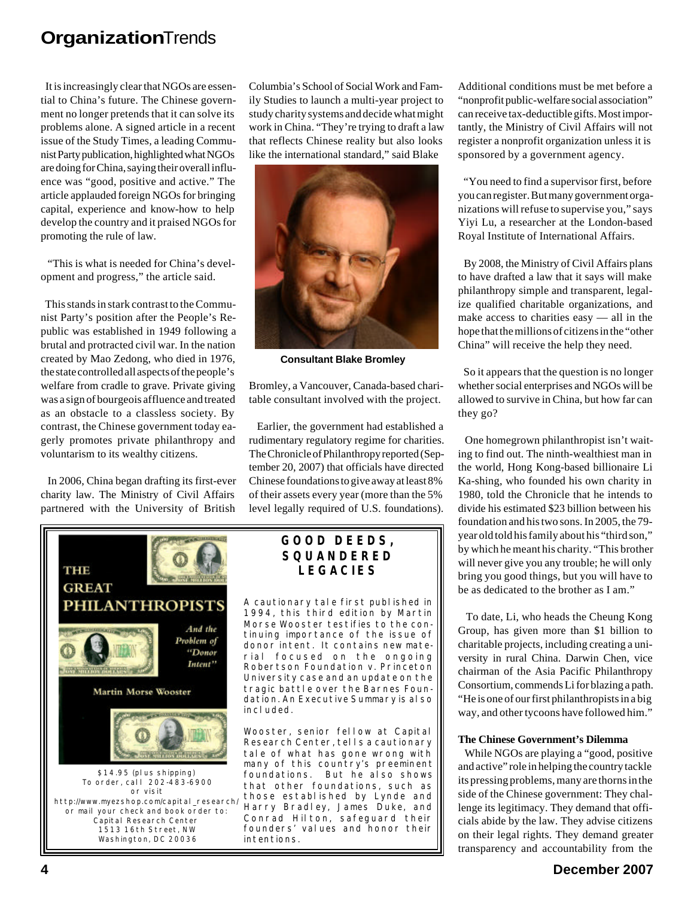It is increasingly clear that NGOs are essential to China's future. The Chinese government no longer pretends that it can solve its problems alone. A signed article in a recent issue of the Study Times, a leading Communist Party publication, highlighted what NGOs are doing for China, saying their overall influence was "good, positive and active." The article applauded foreign NGOs for bringing capital, experience and know-how to help develop the country and it praised NGOs for promoting the rule of law.

 "This is what is needed for China's development and progress," the article said.

 This stands in stark contrast to the Communist Party's position after the People's Republic was established in 1949 following a brutal and protracted civil war. In the nation created by Mao Zedong, who died in 1976, the state controlled all aspects of the people's welfare from cradle to grave. Private giving was a sign of bourgeois affluence and treated as an obstacle to a classless society. By contrast, the Chinese government today eagerly promotes private philanthropy and voluntarism to its wealthy citizens.

 In 2006, China began drafting its first-ever charity law. The Ministry of Civil Affairs partnered with the University of British

Columbia's School of Social Work and Family Studies to launch a multi-year project to study charity systems and decide what might work in China. "They're trying to draft a law that reflects Chinese reality but also looks like the international standard," said Blake



**Consultant Blake Bromley**

Bromley, a Vancouver, Canada-based charitable consultant involved with the project.

 Earlier, the government had established a rudimentary regulatory regime for charities. The Chronicle of Philanthropy reported (September 20, 2007) that officials have directed Chinese foundations to give away at least 8% of their assets every year (more than the 5% level legally required of U.S. foundations).



#### **GOOD DEEDS, SQUANDERED LEGACIES**

A cautionary tale first published in 1994, this third edition by Martin Morse Wooster testifies to the continuing importance of the issue of donor intent. It contains new material focused on the ongoing *Robertson Foundation v. Princeton University* case and an update on the tragic battle over the Barnes Foundation. An Executive Summary is also included.

Wooster, senior fellow at Capital Research Center, tells a cautionary tale of what has gone wrong with many of this country's preeminent foundations. But he also shows that other foundations, such as those established by Lynde and Harry Bradley, James Duke, and Conrad Hilton, safeguard their founders' values and honor their intentions.

Additional conditions must be met before a "nonprofit public-welfare social association" can receive tax-deductible gifts. Most importantly, the Ministry of Civil Affairs will not register a nonprofit organization unless it is sponsored by a government agency.

 "You need to find a supervisor first, before you can register. But many government organizations will refuse to supervise you," says Yiyi Lu, a researcher at the London-based Royal Institute of International Affairs.

 By 2008, the Ministry of Civil Affairs plans to have drafted a law that it says will make philanthropy simple and transparent, legalize qualified charitable organizations, and make access to charities easy — all in the hope that the millions of citizens in the "other China" will receive the help they need.

 So it appears that the question is no longer whether social enterprises and NGOs will be allowed to survive in China, but how far can they go?

 One homegrown philanthropist isn't waiting to find out. The ninth-wealthiest man in the world, Hong Kong-based billionaire Li Ka-shing, who founded his own charity in 1980, told the Chronicle that he intends to divide his estimated \$23 billion between his foundation and his two sons. In 2005, the 79 year old told his family about his "third son," by which he meant his charity. "This brother will never give you any trouble; he will only bring you good things, but you will have to be as dedicated to the brother as I am."

 To date, Li, who heads the Cheung Kong Group, has given more than \$1 billion to charitable projects, including creating a university in rural China. Darwin Chen, vice chairman of the Asia Pacific Philanthropy Consortium, commends Li for blazing a path. "He is one of our first philanthropists in a big way, and other tycoons have followed him."

#### **The Chinese Government's Dilemma**

 While NGOs are playing a "good, positive and active" role in helping the country tackle its pressing problems, many are thorns in the side of the Chinese government: They challenge its legitimacy. They demand that officials abide by the law. They advise citizens on their legal rights. They demand greater transparency and accountability from the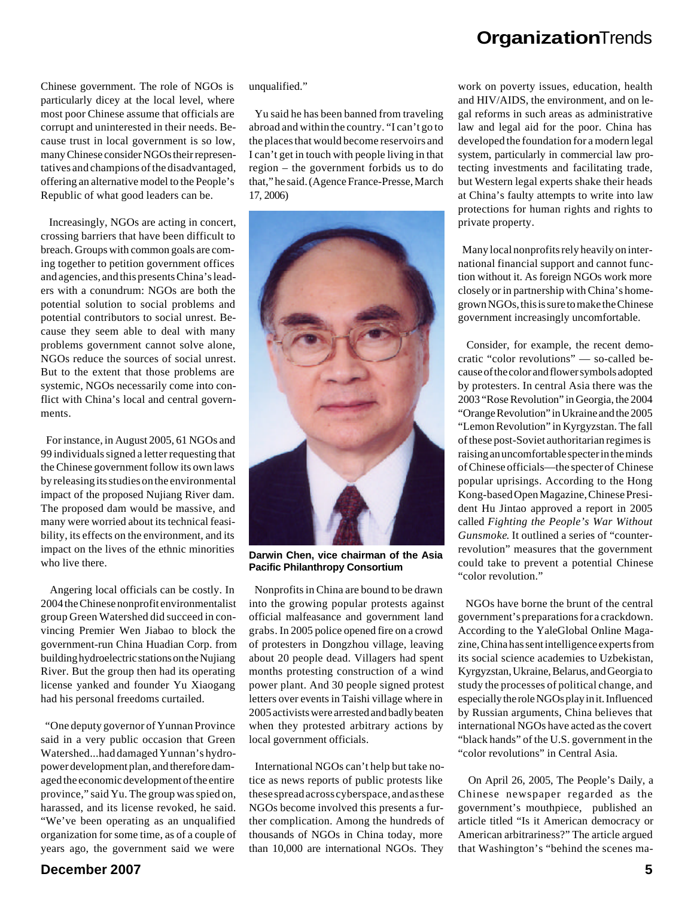Chinese government. The role of NGOs is particularly dicey at the local level, where most poor Chinese assume that officials are corrupt and uninterested in their needs. Because trust in local government is so low, many Chinese consider NGOs their representatives and champions of the disadvantaged, offering an alternative model to the People's Republic of what good leaders can be.

 Increasingly, NGOs are acting in concert, crossing barriers that have been difficult to breach. Groups with common goals are coming together to petition government offices and agencies, and this presents China's leaders with a conundrum: NGOs are both the potential solution to social problems and potential contributors to social unrest. Because they seem able to deal with many problems government cannot solve alone, NGOs reduce the sources of social unrest. But to the extent that those problems are systemic, NGOs necessarily come into conflict with China's local and central governments.

 For instance, in August 2005, 61 NGOs and 99 individuals signed a letter requesting that the Chinese government follow its own laws by releasing its studies on the environmental impact of the proposed Nujiang River dam. The proposed dam would be massive, and many were worried about its technical feasibility, its effects on the environment, and its impact on the lives of the ethnic minorities who live there.

 Angering local officials can be costly. In 2004 the Chinese nonprofit environmentalist group Green Watershed did succeed in convincing Premier Wen Jiabao to block the government-run China Huadian Corp. from building hydroelectric stations on the Nujiang River. But the group then had its operating license yanked and founder Yu Xiaogang had his personal freedoms curtailed.

 "One deputy governor of Yunnan Province said in a very public occasion that Green Watershed...had damaged Yunnan's hydropower development plan, and therefore damaged the economic development of the entire province," said Yu. The group was spied on, harassed, and its license revoked, he said. "We've been operating as an unqualified organization for some time, as of a couple of years ago, the government said we were

unqualified."

 Yu said he has been banned from traveling abroad and within the country. "I can't go to the places that would become reservoirs and I can't get in touch with people living in that region – the government forbids us to do that," he said. (Agence France-Presse, March 17, 2006)



**Darwin Chen, vice chairman of the Asia Pacific Philanthropy Consortium**

 Nonprofits in China are bound to be drawn into the growing popular protests against official malfeasance and government land grabs. In 2005 police opened fire on a crowd of protesters in Dongzhou village, leaving about 20 people dead. Villagers had spent months protesting construction of a wind power plant. And 30 people signed protest letters over events in Taishi village where in 2005 activists were arrested and badly beaten when they protested arbitrary actions by local government officials.

 International NGOs can't help but take notice as news reports of public protests like these spread across cyberspace, and as these NGOs become involved this presents a further complication. Among the hundreds of thousands of NGOs in China today, more than 10,000 are international NGOs. They

work on poverty issues, education, health and HIV/AIDS, the environment, and on legal reforms in such areas as administrative law and legal aid for the poor. China has developed the foundation for a modern legal system, particularly in commercial law protecting investments and facilitating trade, but Western legal experts shake their heads at China's faulty attempts to write into law protections for human rights and rights to private property.

 Many local nonprofits rely heavily on international financial support and cannot function without it. As foreign NGOs work more closely or in partnership with China's homegrown NGOs, this is sure to make the Chinese government increasingly uncomfortable.

 Consider, for example, the recent democratic "color revolutions" — so-called because of the color and flower symbols adopted by protesters. In central Asia there was the 2003 "Rose Revolution" in Georgia, the 2004 "Orange Revolution" in Ukraine and the 2005 "Lemon Revolution" in Kyrgyzstan. The fall of these post-Soviet authoritarian regimes is raising an uncomfortable specter in the minds of Chinese officials—the specter of Chinese popular uprisings. According to the Hong Kong-based Open Magazine, Chinese President Hu Jintao approved a report in 2005 called *Fighting the People's War Without Gunsmoke*. It outlined a series of "counterrevolution" measures that the government could take to prevent a potential Chinese "color revolution."

 NGOs have borne the brunt of the central government's preparations for a crackdown. According to the YaleGlobal Online Magazine, China has sent intelligence experts from its social science academies to Uzbekistan, Kyrgyzstan, Ukraine, Belarus, and Georgia to study the processes of political change, and especially the role NGOs play in it. Influenced by Russian arguments, China believes that international NGOs have acted as the covert "black hands" of the U.S. government in the "color revolutions" in Central Asia.

 On April 26, 2005, The People's Daily, a Chinese newspaper regarded as the government's mouthpiece, published an article titled "Is it American democracy or American arbitrariness?" The article argued that Washington's "behind the scenes ma-

#### **December 2007 5**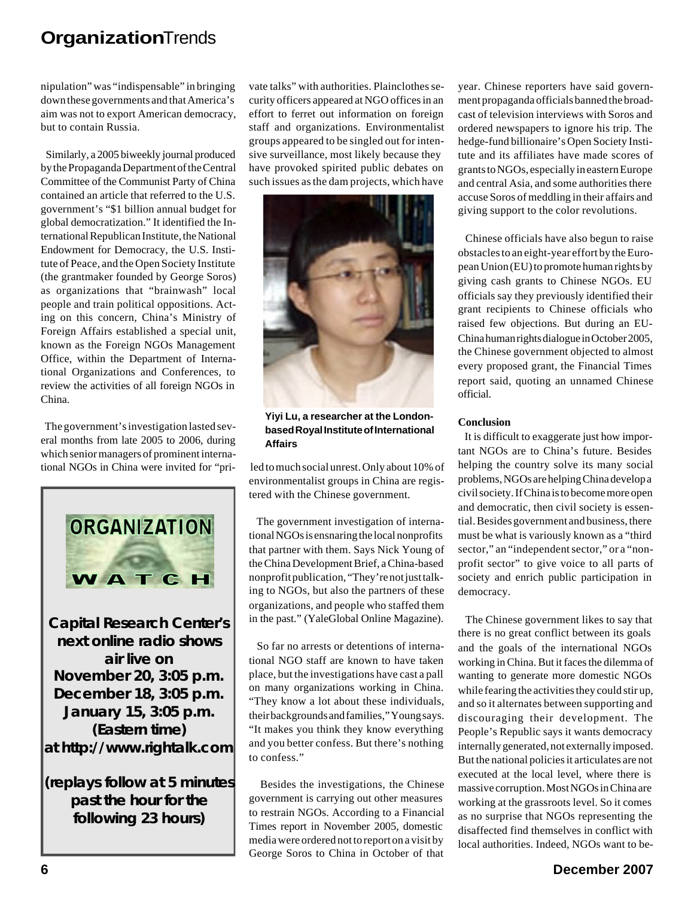nipulation" was "indispensable" in bringing down these governments and that America's aim was not to export American democracy, but to contain Russia.

 Similarly, a 2005 biweekly journal produced by the Propaganda Department of the Central Committee of the Communist Party of China contained an article that referred to the U.S. government's "\$1 billion annual budget for global democratization." It identified the International Republican Institute, the National Endowment for Democracy, the U.S. Institute of Peace, and the Open Society Institute (the grantmaker founded by George Soros) as organizations that "brainwash" local people and train political oppositions. Acting on this concern, China's Ministry of Foreign Affairs established a special unit, known as the Foreign NGOs Management Office, within the Department of International Organizations and Conferences, to review the activities of all foreign NGOs in China.

 The government's investigation lasted several months from late 2005 to 2006, during which senior managers of prominent international NGOs in China were invited for "pri-



**Capital Research Center's next online radio shows air live on November 20, 3:05 p.m. December 18, 3:05 p.m. January 15, 3:05 p.m. (Eastern time) at** *http://www.rightalk.com*

**(replays follow at 5 minutes past the hour for the following 23 hours)**

vate talks" with authorities. Plainclothes security officers appeared at NGO offices in an effort to ferret out information on foreign staff and organizations. Environmentalist groups appeared to be singled out for intensive surveillance, most likely because they have provoked spirited public debates on such issues as the dam projects, which have



**Yiyi Lu, a researcher at the Londonbased Royal Institute of International Affairs**

 led to much social unrest. Only about 10% of environmentalist groups in China are registered with the Chinese government.

 The government investigation of international NGOs is ensnaring the local nonprofits that partner with them. Says Nick Young of the China Development Brief, a China-based nonprofit publication, "They're not just talking to NGOs, but also the partners of these organizations, and people who staffed them in the past." (YaleGlobal Online Magazine).

 So far no arrests or detentions of international NGO staff are known to have taken place, but the investigations have cast a pall on many organizations working in China. "They know a lot about these individuals, their backgrounds and families," Young says. "It makes you think they know everything and you better confess. But there's nothing to confess."

 Besides the investigations, the Chinese government is carrying out other measures to restrain NGOs. According to a Financial Times report in November 2005, domestic media were ordered not to report on a visit by George Soros to China in October of that

year. Chinese reporters have said government propaganda officials banned the broadcast of television interviews with Soros and ordered newspapers to ignore his trip. The hedge-fund billionaire's Open Society Institute and its affiliates have made scores of grants to NGOs, especially in eastern Europe and central Asia, and some authorities there accuse Soros of meddling in their affairs and giving support to the color revolutions.

 Chinese officials have also begun to raise obstacles to an eight-year effort by the European Union (EU) to promote human rights by giving cash grants to Chinese NGOs. EU officials say they previously identified their grant recipients to Chinese officials who raised few objections. But during an EU-China human rights dialogue in October 2005, the Chinese government objected to almost every proposed grant, the Financial Times report said, quoting an unnamed Chinese official.

#### **Conclusion**

 It is difficult to exaggerate just how important NGOs are to China's future. Besides helping the country solve its many social problems, NGOs are helping China develop a civil society. If China is to become more open and democratic, then civil society is essential. Besides government and business, there must be what is variously known as a "third sector," an "independent sector," or a "nonprofit sector" to give voice to all parts of society and enrich public participation in democracy.

 The Chinese government likes to say that there is no great conflict between its goals and the goals of the international NGOs working in China. But it faces the dilemma of wanting to generate more domestic NGOs while fearing the activities they could stir up, and so it alternates between supporting and discouraging their development. The People's Republic says it wants democracy internally generated, not externally imposed. But the national policies it articulates are not executed at the local level, where there is massive corruption. Most NGOs in China are working at the grassroots level. So it comes as no surprise that NGOs representing the disaffected find themselves in conflict with local authorities. Indeed, NGOs want to be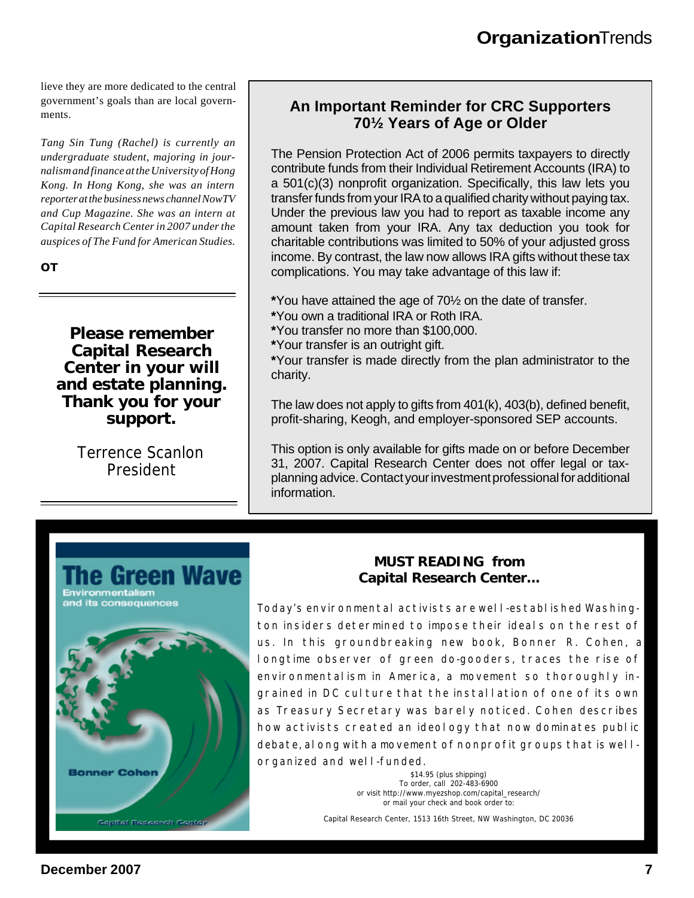lieve they are more dedicated to the central government's goals than are local governments.

*Tang Sin Tung (Rachel) is currently an undergraduate student, majoring in journalism and finance at the University of Hong Kong. In Hong Kong, she was an intern reporter at the business news channel NowTV and Cup Magazine. She was an intern at Capital Research Center in 2007 under the auspices of The Fund for American Studies.*

*OT*

**Please remember Capital Research Center in your will and estate planning. Thank you for your support.**

> Terrence Scanlon President

#### **An Important Reminder for CRC Supporters 70½ Years of Age or Older**

The Pension Protection Act of 2006 permits taxpayers to directly contribute funds from their Individual Retirement Accounts (IRA) to a 501(c)(3) nonprofit organization. Specifically, this law lets you transfer funds from your IRA to a qualified charity without paying tax. Under the previous law you had to report as taxable income any amount taken from your IRA. Any tax deduction you took for charitable contributions was limited to 50% of your adjusted gross income. By contrast, the law now allows IRA gifts without these tax complications. You may take advantage of this law if:

**\***You have attained the age of 70½ on the date of transfer.

- **\***You own a traditional IRA or Roth IRA.
- **\***You transfer no more than \$100,000.
- **\***Your transfer is an outright gift.

**\***Your transfer is made directly from the plan administrator to the charity.

The law does not apply to gifts from 401(k), 403(b), defined benefit, profit-sharing, Keogh, and employer-sponsored SEP accounts.

This option is only available for gifts made on or before December 31, 2007. Capital Research Center does not offer legal or taxplanning advice. Contact your investment professional for additional information.



#### *MUST READING* **from Capital Research Center...**

Today's environmental activists are well-established Washington insiders determined to impose their ideals on the rest of us. In this groundbreaking new book, Bonner R. Cohen, a longtime observer of green do-gooders, traces the rise of environmentalism in America, a movement so thoroughly ingrained in DC culture that the install ation of one of its own as Treasury Secretary was barely noticed. Cohen describes how activists created an ideology that now dominates public debate, along with a movement of nonprofit groups that is wellorganized and well-funded.

> *\$14.95 (plus shipping) To order, call* 202-483-6900 or visit http://www.myezshop.com/capital\_research/ *or mail your check and book order to:*

Capital Research Center, 1513 16th Street, NW Washington, DC 20036